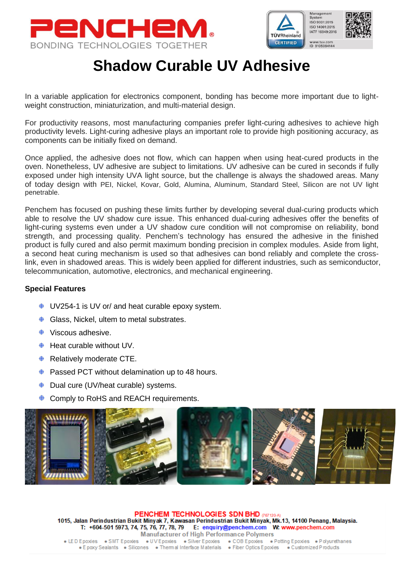



## **Shadow Curable UV Adhesive**

In a variable application for electronics component, bonding has become more important due to lightweight construction, miniaturization, and multi-material design.

For productivity reasons, most manufacturing companies prefer light-curing adhesives to achieve high productivity levels. Light-curing adhesive plays an important role to provide high positioning accuracy, as components can be initially fixed on demand.

Once applied, the adhesive does not flow, which can happen when using heat-cured products in the oven. Nonetheless, UV adhesive are subject to limitations. UV adhesive can be cured in seconds if fully exposed under high intensity UVA light source, but the challenge is always the shadowed areas. Many of today design with PEI, Nickel, Kovar, Gold, Alumina, Aluminum, Standard Steel, Silicon are not UV light penetrable.

Penchem has focused on pushing these limits further by developing several dual-curing products which able to resolve the UV shadow cure issue. This enhanced dual-curing adhesives offer the benefits of light-curing systems even under a UV shadow cure condition will not compromise on reliability, bond strength, and processing quality. Penchem's technology has ensured the adhesive in the finished product is fully cured and also permit maximum bonding precision in complex modules. Aside from light, a second heat curing mechanism is used so that adhesives can bond reliably and complete the crosslink, even in shadowed areas. This is widely been applied for different industries, such as semiconductor, telecommunication, automotive, electronics, and mechanical engineering.

## **Special Features**

- $\div$  UV254-1 is UV or/ and heat curable epoxy system.
- $\triangleleft$  Glass, Nickel, ultem to metal substrates.
- **♦** Viscous adhesive.
- $\triangleq$  Heat curable without UV.
- $\triangleq$  Relatively moderate CTE.
- $\triangleq$  Passed PCT without delamination up to 48 hours.
- **♦ Dual cure (UV/heat curable) systems.**
- ♦ Comply to RoHS and REACH requirements.



PENCHEM TECHNOLOGIES SDN BHD 067120-AI 1015, Jalan Perindustrian Bukit Minyak 7, Kawasan Perindustrian Bukit Minyak, Mk.13, 14100 Penang, Malaysia. T: +604-501 5973, 74, 75, 76, 77, 78, 79 E: enquiry@penchem.com W: www.penchem.com **Manufacturer of High Performance Polymers** • LED Epoxies • SMT Epoxies • UV Epoxies • Silver Epoxies • COB Epoxies • Potting Epoxies • Polyurethanes<br>• Epoxy Sealants • Silicones • Thermal Interface Materials • Fiber Optics Epoxies • Customized Products